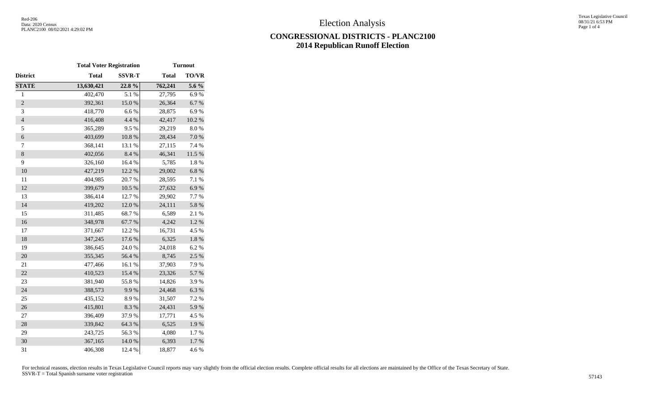## **CONGRESSIONAL DISTRICTS - PLANC2100 2014 Republican Runoff Election**

|                          | <b>Total Voter Registration</b> |               | <b>Turnout</b> |           |  |  |
|--------------------------|---------------------------------|---------------|----------------|-----------|--|--|
| District                 | <b>Total</b>                    | <b>SSVR-T</b> | <b>Total</b>   | TO/VR     |  |  |
| <b>STATE</b>             | 13,630,421                      | 22.8%         | 762,241        | 5.6 %     |  |  |
| $\mathbf{1}$             | 402,470                         | 5.1 %         | 27,795         | 6.9%      |  |  |
| $\overline{2}$           | 392,361                         | 15.0%         | 26,364         | 6.7%      |  |  |
| 3                        | 418,770                         | 6.6%          | 28,875         | 6.9%      |  |  |
| $\overline{\mathcal{L}}$ | 416,408                         | 4.4 %         | 42,417         | $10.2~\%$ |  |  |
| 5                        | 365,289                         | 9.5%          | 29,219         | 8.0%      |  |  |
| $\boldsymbol{6}$         | 403,699                         | $10.8~\%$     | 28,434         | $7.0\ \%$ |  |  |
| $\tau$                   | 368,141                         | 13.1 %        | 27,115         | 7.4 %     |  |  |
| $\,8\,$                  | 402,056                         | 8.4%          | 46,341         | 11.5 %    |  |  |
| 9                        | 326,160                         | 16.4 %        | 5,785          | 1.8%      |  |  |
| 10                       | 427,219                         | 12.2 %        | 29,002         | 6.8%      |  |  |
| 11                       | 404,985                         | 20.7%         | 28,595         | 7.1 %     |  |  |
| 12                       | 399,679                         | $10.5~\%$     | 27,632         | 6.9%      |  |  |
| 13                       | 386,414                         | 12.7 %        | 29,902         | 7.7 %     |  |  |
| 14                       | 419,202                         | 12.0%         | 24,111         | 5.8 %     |  |  |
| 15                       | 311,485                         | 68.7%         | 6,589          | 2.1 %     |  |  |
| 16                       | 348,978                         | 67.7%         | 4,242          | 1.2 %     |  |  |
| 17                       | 371,667                         | 12.2 %        | 16,731         | 4.5 %     |  |  |
| 18                       | 347,245                         | 17.6 %        | 6,325          | $1.8\ \%$ |  |  |
| 19                       | 386,645                         | 24.0 %        | 24,018         | 6.2%      |  |  |
| 20                       | 355,345                         | 56.4 %        | 8,745          | 2.5 %     |  |  |
| 21                       | 477,466                         | 16.1%         | 37,903         | 7.9%      |  |  |
| 22                       | 410,523                         | 15.4 %        | 23,326         | 5.7%      |  |  |
| 23                       | 381,940                         | 55.8%         | 14,826         | 3.9%      |  |  |
| 24                       | 388,573                         | 9.9%          | 24,468         | 6.3%      |  |  |
| 25                       | 435,152                         | 8.9%          | 31,507         | 7.2 %     |  |  |
| 26                       | 415,801                         | 8.3%          | 24,431         | 5.9%      |  |  |
| 27                       | 396,409                         | 37.9%         | 17,771         | 4.5 %     |  |  |
| 28                       | 339,842                         | 64.3%         | 6,525          | 1.9%      |  |  |
| 29                       | 243,725                         | 56.3%         | 4,080          | 1.7%      |  |  |
| 30                       | 367,165                         | 14.0 %        | 6,393          | 1.7%      |  |  |
| 31                       | 406,308                         | 12.4 %        | 18,877         | 4.6%      |  |  |

For technical reasons, election results in Texas Legislative Council reports may vary slightly from the official election results. Complete official results for all elections are maintained by the Office of the Texas Secre SSVR-T = Total Spanish surname voter registration <sup>57143</sup>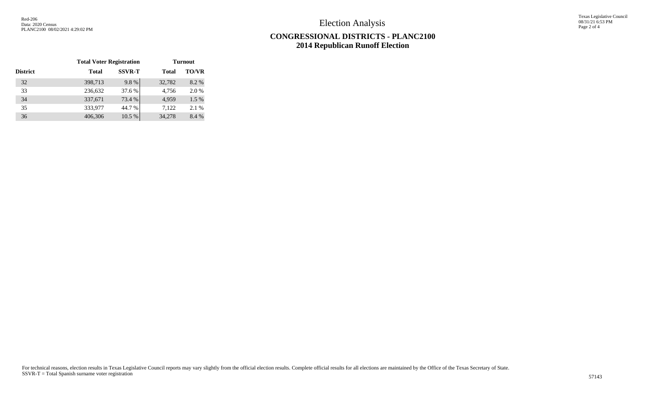Election Analysis

Texas Legislative Council 08/31/21 6:53 PM Page 2 of 4

## **CONGRESSIONAL DISTRICTS - PLANC2100 2014 Republican Runoff Election**

|                 | <b>Total Voter Registration</b> |               | <b>Turnout</b> |              |  |  |
|-----------------|---------------------------------|---------------|----------------|--------------|--|--|
| <b>District</b> | <b>Total</b>                    | <b>SSVR-T</b> | <b>Total</b>   | <b>TO/VR</b> |  |  |
| 32              | 398,713                         | 9.8%          | 32,782         | 8.2%         |  |  |
| 33              | 236,632                         | 37.6 %        | 4,756          | 2.0 %        |  |  |
| 34              | 337,671                         | 73.4 %        | 4.959          | $1.5\%$      |  |  |
| 35              | 333,977                         | 44.7 %        | 7.122          | 2.1 %        |  |  |
| 36              | 406,306                         | 10.5 %        | 34,278         | 8.4 %        |  |  |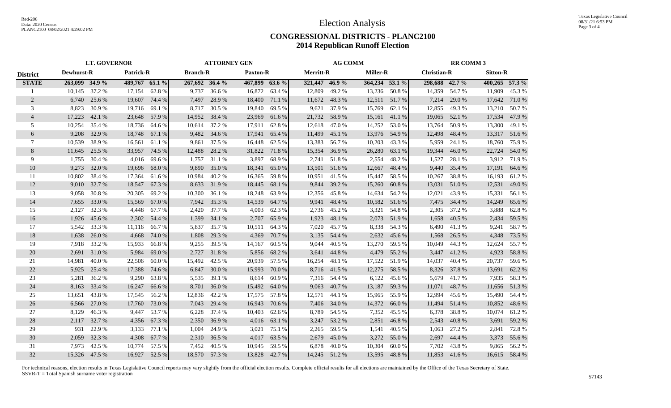## **CONGRESSIONAL DISTRICTS - PLANC2100 2014 Republican Runoff Election**

|                 | <b>LT. GOVERNOR</b> |               |                | <b>ATTORNEY GEN</b> |                |                 | <b>AG COMM</b> |                 |                | <b>RR COMM 3</b> |                 |               |                    |        |                |                 |
|-----------------|---------------------|---------------|----------------|---------------------|----------------|-----------------|----------------|-----------------|----------------|------------------|-----------------|---------------|--------------------|--------|----------------|-----------------|
| <b>District</b> | Dewhurst-R          |               |                | Patrick-R           |                | <b>Branch-R</b> |                | <b>Paxton-R</b> |                | <b>Merritt-R</b> | <b>Miller-R</b> |               | <b>Christian-R</b> |        |                | <b>Sitton-R</b> |
| <b>STATE</b>    | 263,099 34.9 %      |               | 489,767 65.1 % |                     | 267,692 36.4 % |                 | 467,899 63.6 % |                 | 321,447 46.9 % |                  | 364,234 53.1 %  |               | 298,688 42.7 %     |        | 400,265 57.3 % |                 |
| 1               | 10,145              | 37.2 %        | 17,154         | 62.8%               | 9,737          | 36.6%           | 16,872         | 63.4 %          | 12,809         | 49.2 %           | 13,236          | 50.8%         | 14,359             | 54.7%  | 11,909         | 45.3%           |
| 2               | 6,740               | 25.6 %        | 19,607         | 74.4 %              | 7,497          | 28.9%           | 18,400         | 71.1 %          | 11,672         | 48.3%            |                 | 12,511 51.7 % | 7,214              | 29.0 % | 17,642         | 71.0 %          |
| 3               | 8,823               | 30.9%         | 19,716         | 69.1 %              | 8,717          | 30.5 %          | 19,840         | 69.5 %          | 9,621          | 37.9 %           | 15,769          | 62.1 %        | 12,855             | 49.3%  | 13,210         | 50.7 %          |
| $\overline{4}$  | 17,223              | 42.1 %        | 23,648         | 57.9 %              | 14,952         | 38.4 %          | 23,969         | 61.6 %          | 21,732         | 58.9 %           | 15,161          | 41.1 %        | 19,065             | 52.1 % | 17,534         | 47.9%           |
| 5               | 10,254              | 35.4 %        | 18,736         | 64.6 %              | 10,614         | 37.2 %          | 17,911         | 62.8%           | 12,618         | 47.0%            | 14,252          | 53.0%         | 13,764             | 50.9%  | 13,300         | 49.1 %          |
| 6               | 9,208               | 32.9 %        | 18,748         | 67.1 %              | 9,482          | 34.6 %          | 17,941         | 65.4 %          | 11,499         | 45.1 %           | 13,976          | 54.9%         | 12,498             | 48.4 % | 13,317         | 51.6%           |
| 7               | 10,539              | 38.9%         | 16,561         | 61.1 %              | 9,861          | 37.5 %          | 16,448         | 62.5 %          | 13,383         | 56.7%            | 10,203          | 43.3 %        | 5,959              | 24.1 % | 18,760         | 75.9 %          |
| 8               | 11,645              | 25.5 %        | 33,957         | 74.5 %              | 12,488         | 28.2%           | 31,822         | 71.8%           | 15,354         | 36.9%            | 26,280          | 63.1 %        | 19,344             | 46.0%  | 22,724         | 54.0%           |
| 9               | 1,755               | 30.4 %        | 4,016          | 69.6%               | 1,757          | 31.1 %          | 3,897          | 68.9%           | 2,741          | 51.8%            | 2,554           | 48.2%         | 1,527              | 28.1 % | 3,912          | 71.9%           |
| 10              | 9,273               | 32.0 %        | 19,696         | 68.0%               | 9,890          | 35.0 %          | 18,341         | 65.0%           | 13,501         | 51.6 %           | 12,667          | 48.4 %        | 9,440              | 35.4 % | 17,191         | 64.6 %          |
| 11              | 10,802              | 38.4 %        | 17,364         | 61.6 %              | 10,984         | 40.2 %          | 16,365         | 59.8%           | 10,951         | 41.5 %           | 15,447          | 58.5 %        | 10,267             | 38.8%  | 16,193         | 61.2%           |
| 12              | 9,010               | 32.7 %        | 18,547         | 67.3 %              | 8,633          | 31.9%           | 18,445         | 68.1 %          | 9,844          | 39.2 %           | 15,260          | 60.8%         | 13,031             | 51.0%  | 12,531         | 49.0 %          |
| 13              | 9,058               | 30.8%         | 20,305         | 69.2%               | 10,300         | 36.1 %          | 18,248         | 63.9%           | 12,356         | 45.8%            | 14,634          | 54.2 %        | 12,021             | 43.9%  | 15,331         | 56.1 %          |
| 14              | 7,655               | 33.0 %        | 15,569         | 67.0 %              | 7,942          | 35.3 %          | 14,539         | 64.7%           | 9,941          | 48.4%            | 10,582          | 51.6 %        | 7,475              | 34.4 % | 14,249         | 65.6%           |
| 15              | 2,127               | 32.3 %        | 4,448          | 67.7 %              | 2,420          | 37.7 %          | 4,003          | 62.3 %          | 2,736          | 45.2 %           | 3,321           | 54.8%         | 2,305              | 37.2 % | 3,888          | 62.8%           |
| 16              | 1,926               | 45.6 %        | 2,302          | 54.4 %              | 1,399          | 34.1 %          | 2,707          | 65.9%           | 1,923          | 48.1 %           | 2,073           | 51.9%         | 1,658              | 40.5 % | 2,434          | 59.5 %          |
| 17              | 5,542               | 33.3 %        | 11,116         | 66.7%               | 5,837          | 35.7 %          | 10,511         | 64.3 %          | 7,020          | 45.7 %           | 8,338           | 54.3 %        | 6,490              | 41.3%  | 9,241          | 58.7%           |
| 18              | 1,638               | 26.0%         | 4,668          | 74.0 %              | 1,808          | 29.3 %          | 4,369          | 70.7%           | 3,135          | 54.4 %           | 2,632           | 45.6%         | 1,568              | 26.5 % | 4,348          | 73.5 %          |
| 19              | 7,918               | 33.2 %        | 15,933         | 66.8%               | 9,255          | 39.5 %          | 14,167         | 60.5 %          | 9.044          | 40.5 %           | 13,270          | 59.5 %        | 10,049             | 44.3 % | 12,624         | 55.7%           |
| 20              | 2,691               | 31.0%         | 5,984          | 69.0%               | 2,727          | 31.8%           | 5,856          | 68.2%           | 3,641          | 44.8%            | 4,479           | 55.2 %        | 3,447              | 41.2%  | 4,923          | 58.8%           |
| 21              | 14,981              | 40.0%         | 22,506         | 60.0%               | 15,492         | 42.5 %          | 20,939         | 57.5 %          | 16,254         | 48.1 %           | 17,522          | 51.9%         | 14,037             | 40.4 % | 20,737         | 59.6%           |
| 22              | 5,925               | 25.4 %        | 17,388         | 74.6 %              |                | 6,847 30.0 %    | 15,993         | 70.0 %          | 8,716          | 41.5 %           | 12,275          | 58.5 %        | 8,326              | 37.8%  | 13,691         | 62.2 %          |
| 23              | 5,281               | 36.2 %        | 9,290          | 63.8%               | 5,535          | 39.1 %          | 8,614          | 60.9%           | 7,316          | 54.4 %           | 6,122           | 45.6 %        | 5,679              | 41.7 % | 7,935          | 58.3%           |
| 24              | 8,163               | 33.4 %        | 16,247         | 66.6 %              | 8,701          | 36.0 %          | 15,492         | 64.0%           | 9,063          | 40.7%            | 13,187          | 59.3%         | 11,071             | 48.7%  | 11,656         | 51.3%           |
| 25              | 13,651              | 43.8%         | 17,545         | 56.2%               | 12,836         | 42.2 %          | 17,575         | 57.8%           | 12,571         | 44.1 %           | 15,965          | 55.9 %        | 12,994             | 45.6 % | 15,490         | 54.4 %          |
| 26              | 6,566               | 27.0 %        | 17,760         | 73.0 %              | 7,043          | 29.4 %          | 16,943         | 70.6 %          | 7,406          | 34.0 %           | 14,372          | 66.0%         | 11,494             | 51.4 % | 10,852         | 48.6%           |
| 27              | 8,129               | 46.3%         | 9,447          | 53.7 %              | 6,228          | 37.4 %          | 10,403         | 62.6 %          | 8,789          | 54.5 %           | 7,352           | 45.5 %        | 6,378              | 38.8%  | 10,074         | 61.2%           |
| 28              | 2,117               | 32.7 %        | 4,356          | 67.3 %              | 2,350          | 36.9%           | 4,016          | 63.1 %          | 3,247          | 53.2 %           | 2,851           | 46.8%         | 2,543              | 40.8%  | 3,691          | 59.2 %          |
| 29              | 931                 | 22.9%         | 3,133          | 77.1 %              | 1,004          | 24.9 %          | 3,021          | 75.1 %          |                | 2,265 59.5 %     | 1,541           | 40.5 %        | 1,063              | 27.2 % | 2,841          | 72.8%           |
| 30              | 2,059               | 32.3 %        | 4,308          | 67.7 %              |                | 2,310 36.5 %    | 4,017          | 63.5 %          | 2,679          | 45.0%            | 3,272           | 55.0%         | 2,697              | 44.4 % | 3,373          | 55.6 %          |
| 31              | 7,973               | 42.5 %        | 10,774         | 57.5 %              | 7,452          | 40.5 %          | 10,945         | 59.5%           | 6,878          | 40.0 %           | 10,304          | 60.0%         | 7.702              | 43.8%  | 9,865          | 56.2%           |
| 32              |                     | 15,326 47.5 % | 16,927         | 52.5 %              |                | 18,570 57.3 %   | 13,828         | 42.7 %          |                | 14,245 51.2 %    | 13,595          | 48.8%         | 11,853 41.6 %      |        |                | 16,615 58.4 %   |

For technical reasons, election results in Texas Legislative Council reports may vary slightly from the official election results. Complete official results for all elections are maintained by the Office of the Texas Secre SSVR-T = Total Spanish surname voter registration <sup>57143</sup>